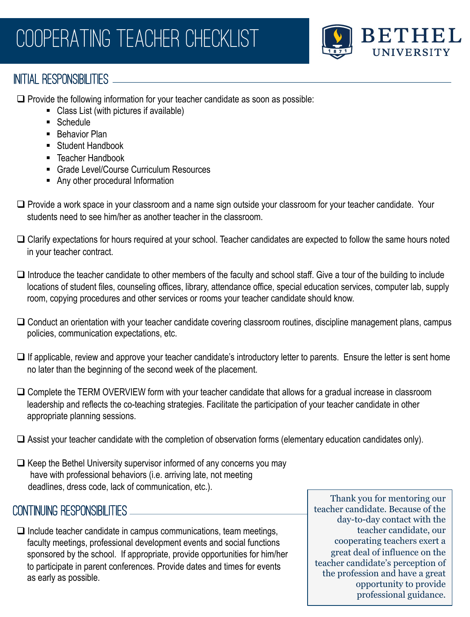

## INITIAL RESPONSIBILITIES \_\_\_\_\_\_\_\_\_\_

 $\Box$  Provide the following information for your teacher candidate as soon as possible:

- Class List (with pictures if available)
- Schedule
- Behavior Plan
- Student Handbook
- Teacher Handbook
- § Grade Level/Course Curriculum Resources
- Any other procedural Information
- $\Box$  Provide a work space in your classroom and a name sign outside your classroom for your teacher candidate. Your students need to see him/her as another teacher in the classroom.
- $\Box$  Clarify expectations for hours required at your school. Teacher candidates are expected to follow the same hours noted in your teacher contract.
- $\Box$  Introduce the teacher candidate to other members of the faculty and school staff. Give a tour of the building to include locations of student files, counseling offices, library, attendance office, special education services, computer lab, supply room, copying procedures and other services or rooms your teacher candidate should know.
- $\square$  Conduct an orientation with your teacher candidate covering classroom routines, discipline management plans, campus policies, communication expectations, etc.
- $\Box$  If applicable, review and approve your teacher candidate's introductory letter to parents. Ensure the letter is sent home no later than the beginning of the second week of the placement.
- $\Box$  Complete the TERM OVERVIEW form with your teacher candidate that allows for a gradual increase in classroom leadership and reflects the co-teaching strategies. Facilitate the participation of your teacher candidate in other appropriate planning sessions.
- $\Box$  Assist your teacher candidate with the completion of observation forms (elementary education candidates only).
- $\Box$  Keep the Bethel University supervisor informed of any concerns you may have with professional behaviors (i.e. arriving late, not meeting deadlines, dress code, lack of communication, etc.).

## CONTINUING Responsibilities

 $\Box$  Include teacher candidate in campus communications, team meetings, faculty meetings, professional development events and social functions sponsored by the school. If appropriate, provide opportunities for him/her to participate in parent conferences. Provide dates and times for events as early as possible.

Thank you for mentoring our teacher candidate. Because of the day-to-day contact with the teacher candidate, our cooperating teachers exert a great deal of influence on the teacher candidate's perception of the profession and have a great opportunity to provide professional guidance.